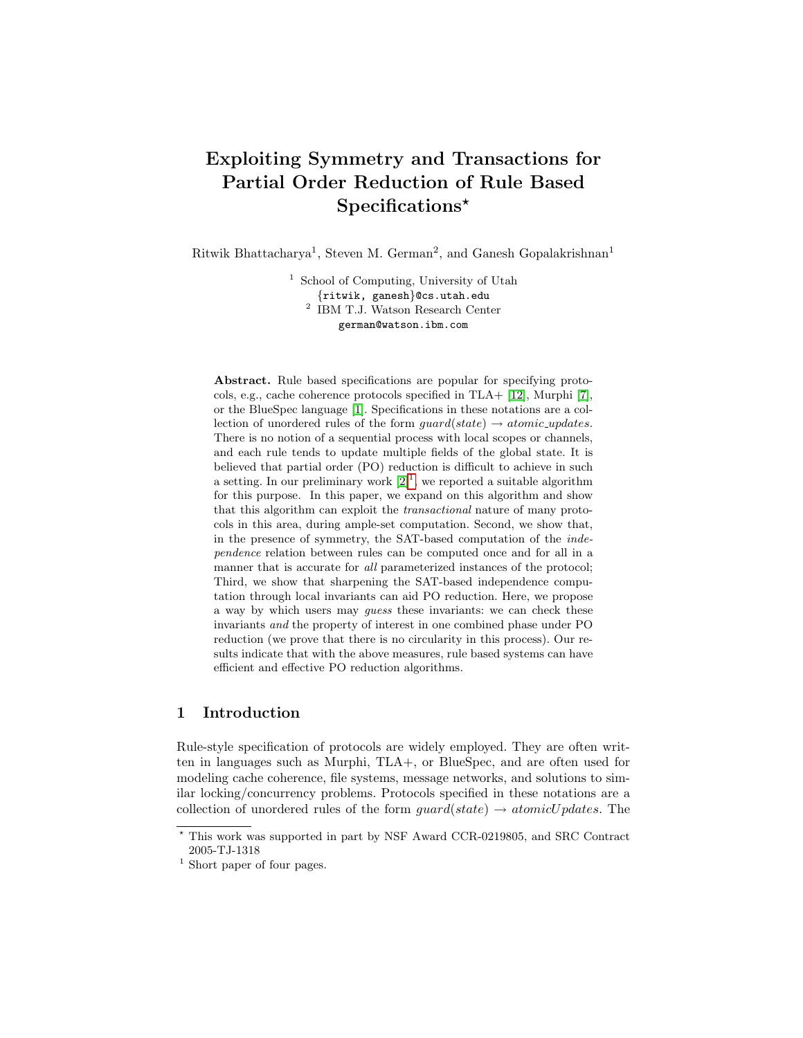# Exploiting Symmetry and Transactions for Partial Order Reduction of Rule Based Specifications\*

Ritwik Bhattacharya<sup>1</sup>, Steven M. German<sup>2</sup>, and Ganesh Gopalakrishnan<sup>1</sup>

<sup>1</sup> School of Computing, University of Utah {ritwik, ganesh}@cs.utah.edu 2 IBM T.J. Watson Research Center german@watson.ibm.com

Abstract. Rule based specifications are popular for specifying protocols, e.g., cache coherence protocols specified in TLA+ [\[12\]](#page-16-0), Murphi [\[7\]](#page-16-1), or the BlueSpec language [\[1\]](#page-16-2). Specifications in these notations are a collection of unordered rules of the form  $guard(state) \rightarrow atomic\_ updates$ . There is no notion of a sequential process with local scopes or channels, and each rule tends to update multiple fields of the global state. It is believed that partial order (PO) reduction is difficult to achieve in such a setting. In our preliminary work  $[2]^1$  $[2]^1$  $[2]^1$ , we reported a suitable algorithm for this purpose. In this paper, we expand on this algorithm and show that this algorithm can exploit the transactional nature of many protocols in this area, during ample-set computation. Second, we show that, in the presence of symmetry, the SAT-based computation of the independence relation between rules can be computed once and for all in a manner that is accurate for *all* parameterized instances of the protocol; Third, we show that sharpening the SAT-based independence computation through local invariants can aid PO reduction. Here, we propose a way by which users may guess these invariants: we can check these invariants and the property of interest in one combined phase under PO reduction (we prove that there is no circularity in this process). Our results indicate that with the above measures, rule based systems can have efficient and effective PO reduction algorithms.

# 1 Introduction

Rule-style specification of protocols are widely employed. They are often written in languages such as Murphi, TLA+, or BlueSpec, and are often used for modeling cache coherence, file systems, message networks, and solutions to similar locking/concurrency problems. Protocols specified in these notations are a collection of unordered rules of the form  $guard(state) \rightarrow atomicUpdates$ . The

<sup>?</sup> This work was supported in part by NSF Award CCR-0219805, and SRC Contract 2005-TJ-1318

<span id="page-0-0"></span><sup>&</sup>lt;sup>1</sup> Short paper of four pages.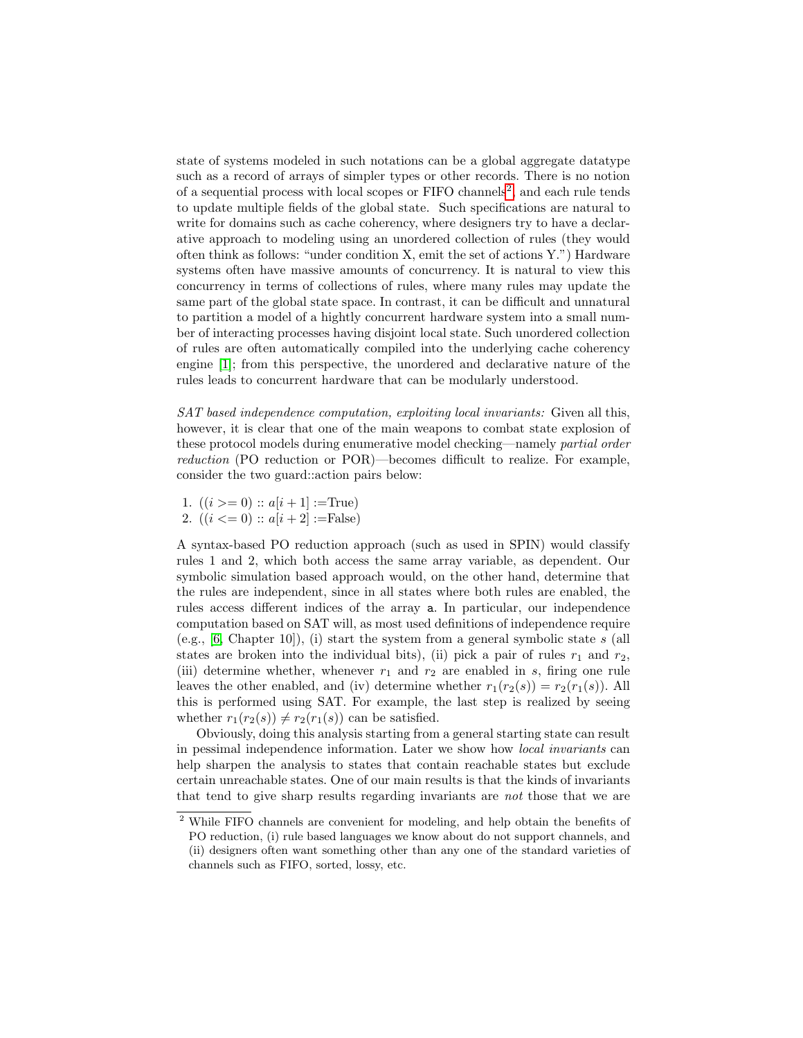state of systems modeled in such notations can be a global aggregate datatype such as a record of arrays of simpler types or other records. There is no notion of a sequential process with local scopes or FIFO channels<sup>[2](#page-1-0)</sup>, and each rule tends to update multiple fields of the global state. Such specifications are natural to write for domains such as cache coherency, where designers try to have a declarative approach to modeling using an unordered collection of rules (they would often think as follows: "under condition X, emit the set of actions Y.") Hardware systems often have massive amounts of concurrency. It is natural to view this concurrency in terms of collections of rules, where many rules may update the same part of the global state space. In contrast, it can be difficult and unnatural to partition a model of a hightly concurrent hardware system into a small number of interacting processes having disjoint local state. Such unordered collection of rules are often automatically compiled into the underlying cache coherency engine [\[1\]](#page-16-2); from this perspective, the unordered and declarative nature of the rules leads to concurrent hardware that can be modularly understood.

SAT based independence computation, exploiting local invariants: Given all this, however, it is clear that one of the main weapons to combat state explosion of these protocol models during enumerative model checking—namely partial order reduction (PO reduction or POR)—becomes difficult to realize. For example, consider the two guard::action pairs below:

- 1.  $((i >= 0) :: a[i + 1] := True)$
- 2.  $((i \leq 0) :: a[i + 2] := False)$

A syntax-based PO reduction approach (such as used in SPIN) would classify rules 1 and 2, which both access the same array variable, as dependent. Our symbolic simulation based approach would, on the other hand, determine that the rules are independent, since in all states where both rules are enabled, the rules access different indices of the array a. In particular, our independence computation based on SAT will, as most used definitions of independence require (e.g.,  $[6, \text{Chapter 10}]$  $[6, \text{Chapter 10}]$ ), (i) start the system from a general symbolic state s (all states are broken into the individual bits), (ii) pick a pair of rules  $r_1$  and  $r_2$ , (iii) determine whether, whenever  $r_1$  and  $r_2$  are enabled in s, firing one rule leaves the other enabled, and (iv) determine whether  $r_1(r_2(s)) = r_2(r_1(s))$ . All this is performed using SAT. For example, the last step is realized by seeing whether  $r_1(r_2(s)) \neq r_2(r_1(s))$  can be satisfied.

Obviously, doing this analysis starting from a general starting state can result in pessimal independence information. Later we show how local invariants can help sharpen the analysis to states that contain reachable states but exclude certain unreachable states. One of our main results is that the kinds of invariants that tend to give sharp results regarding invariants are not those that we are

<span id="page-1-0"></span><sup>2</sup> While FIFO channels are convenient for modeling, and help obtain the benefits of PO reduction, (i) rule based languages we know about do not support channels, and (ii) designers often want something other than any one of the standard varieties of

channels such as FIFO, sorted, lossy, etc.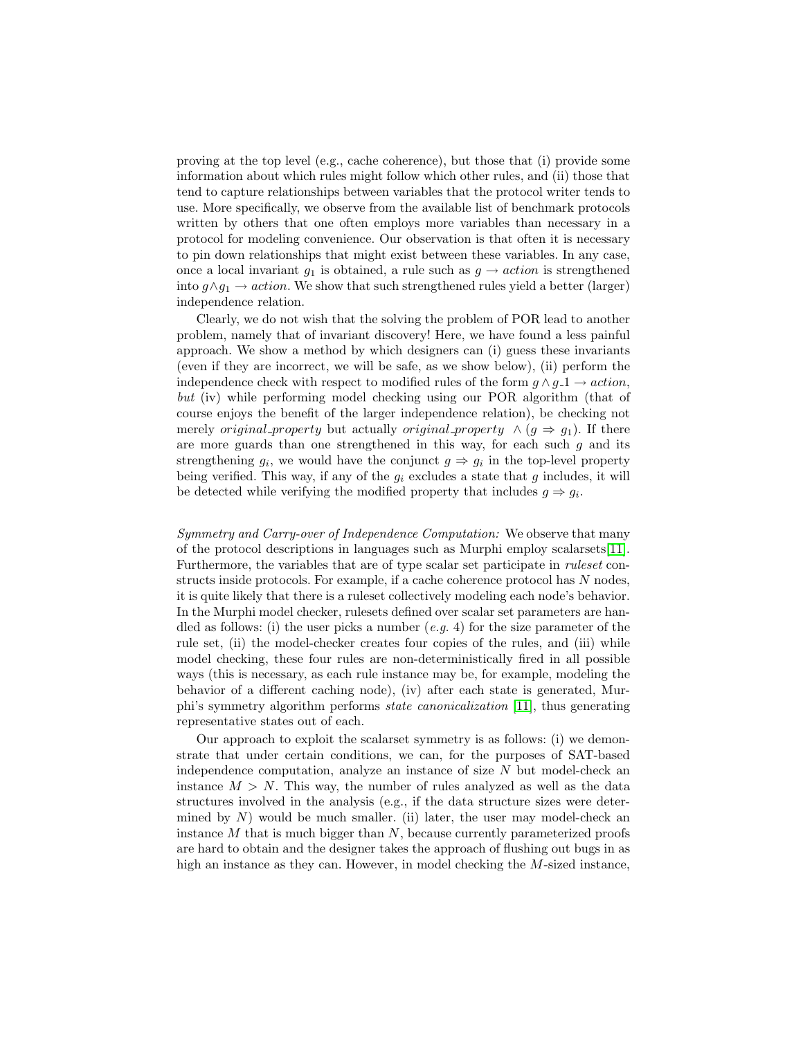proving at the top level (e.g., cache coherence), but those that (i) provide some information about which rules might follow which other rules, and (ii) those that tend to capture relationships between variables that the protocol writer tends to use. More specifically, we observe from the available list of benchmark protocols written by others that one often employs more variables than necessary in a protocol for modeling convenience. Our observation is that often it is necessary to pin down relationships that might exist between these variables. In any case, once a local invariant  $g_1$  is obtained, a rule such as  $g \to action$  is strengthened into  $g \land g_1 \to action$ . We show that such strengthened rules yield a better (larger) independence relation.

Clearly, we do not wish that the solving the problem of POR lead to another problem, namely that of invariant discovery! Here, we have found a less painful approach. We show a method by which designers can (i) guess these invariants (even if they are incorrect, we will be safe, as we show below), (ii) perform the independence check with respect to modified rules of the form  $g \wedge g_1 \rightarrow action$ , but (iv) while performing model checking using our POR algorithm (that of course enjoys the benefit of the larger independence relation), be checking not merely *original property* but actually *original property*  $\wedge$   $(g \Rightarrow g_1)$ . If there are more guards than one strengthened in this way, for each such  $g$  and its strengthening  $g_i$ , we would have the conjunct  $g \Rightarrow g_i$  in the top-level property being verified. This way, if any of the  $g_i$  excludes a state that g includes, it will be detected while verifying the modified property that includes  $g \Rightarrow g_i$ .

Symmetry and Carry-over of Independence Computation: We observe that many of the protocol descriptions in languages such as Murphi employ scalarsets[\[11\]](#page-16-5). Furthermore, the variables that are of type scalar set participate in ruleset constructs inside protocols. For example, if a cache coherence protocol has N nodes, it is quite likely that there is a ruleset collectively modeling each node's behavior. In the Murphi model checker, rulesets defined over scalar set parameters are handled as follows: (i) the user picks a number  $(e.g. 4)$  for the size parameter of the rule set, (ii) the model-checker creates four copies of the rules, and (iii) while model checking, these four rules are non-deterministically fired in all possible ways (this is necessary, as each rule instance may be, for example, modeling the behavior of a different caching node), (iv) after each state is generated, Murphi's symmetry algorithm performs state canonicalization [\[11\]](#page-16-5), thus generating representative states out of each.

Our approach to exploit the scalarset symmetry is as follows: (i) we demonstrate that under certain conditions, we can, for the purposes of SAT-based independence computation, analyze an instance of size  $N$  but model-check an instance  $M > N$ . This way, the number of rules analyzed as well as the data structures involved in the analysis (e.g., if the data structure sizes were determined by  $N$ ) would be much smaller. (ii) later, the user may model-check an instance  $M$  that is much bigger than  $N$ , because currently parameterized proofs are hard to obtain and the designer takes the approach of flushing out bugs in as high an instance as they can. However, in model checking the M-sized instance,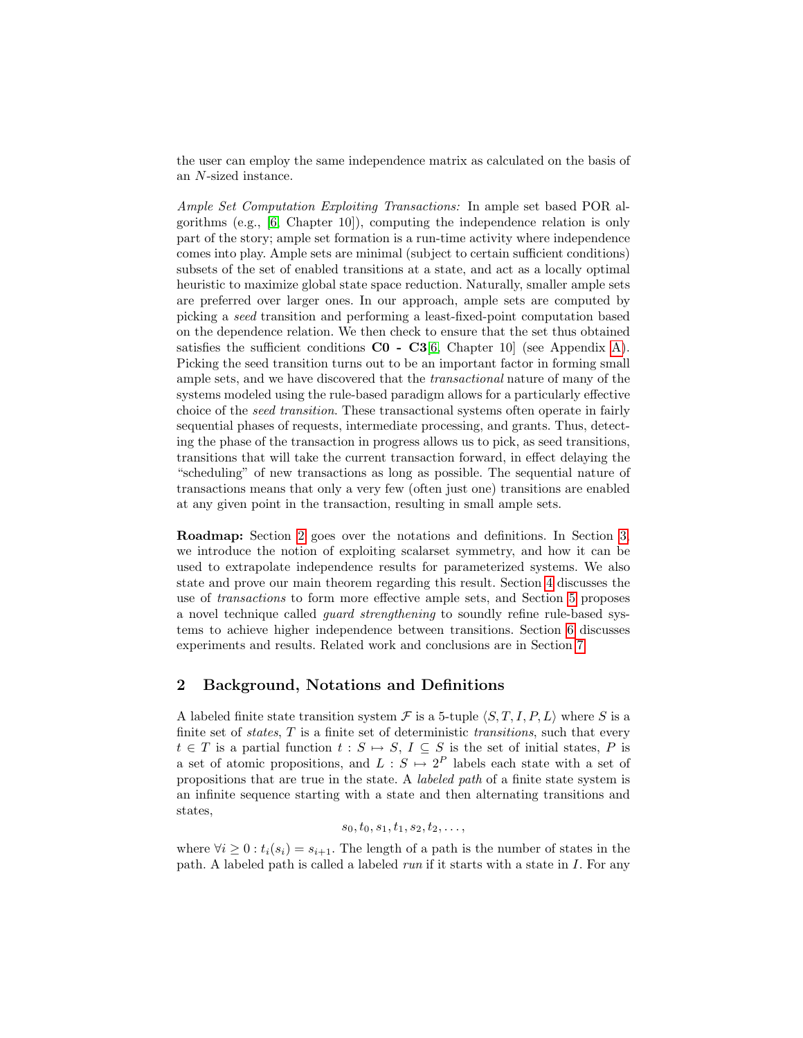the user can employ the same independence matrix as calculated on the basis of an N-sized instance.

Ample Set Computation Exploiting Transactions: In ample set based POR algorithms (e.g., [\[6,](#page-16-4) Chapter 10]), computing the independence relation is only part of the story; ample set formation is a run-time activity where independence comes into play. Ample sets are minimal (subject to certain sufficient conditions) subsets of the set of enabled transitions at a state, and act as a locally optimal heuristic to maximize global state space reduction. Naturally, smaller ample sets are preferred over larger ones. In our approach, ample sets are computed by picking a seed transition and performing a least-fixed-point computation based on the dependence relation. We then check to ensure that the set thus obtained satisfies the sufficient conditions  $CO - C3[6, Chapter 10]$  $CO - C3[6, Chapter 10]$  $CO - C3[6, Chapter 10]$  (see Appendix [A\)](#page-15-0). Picking the seed transition turns out to be an important factor in forming small ample sets, and we have discovered that the transactional nature of many of the systems modeled using the rule-based paradigm allows for a particularly effective choice of the seed transition. These transactional systems often operate in fairly sequential phases of requests, intermediate processing, and grants. Thus, detecting the phase of the transaction in progress allows us to pick, as seed transitions, transitions that will take the current transaction forward, in effect delaying the "scheduling" of new transactions as long as possible. The sequential nature of transactions means that only a very few (often just one) transitions are enabled at any given point in the transaction, resulting in small ample sets.

Roadmap: Section [2](#page-3-0) goes over the notations and definitions. In Section [3,](#page-5-0) we introduce the notion of exploiting scalarset symmetry, and how it can be used to extrapolate independence results for parameterized systems. We also state and prove our main theorem regarding this result. Section [4](#page-9-0) discusses the use of transactions to form more effective ample sets, and Section [5](#page-10-0) proposes a novel technique called guard strengthening to soundly refine rule-based systems to achieve higher independence between transitions. Section [6](#page-11-0) discusses experiments and results. Related work and conclusions are in Section [7.](#page-15-1)

# <span id="page-3-0"></span>2 Background, Notations and Definitions

A labeled finite state transition system  $\mathcal F$  is a 5-tuple  $\langle S, T, I, P, L \rangle$  where S is a finite set of *states*,  $T$  is a finite set of deterministic *transitions*, such that every  $t \in T$  is a partial function  $t : S \mapsto S, I \subseteq S$  is the set of initial states, P is a set of atomic propositions, and  $L : S \mapsto 2^P$  labels each state with a set of propositions that are true in the state. A labeled path of a finite state system is an infinite sequence starting with a state and then alternating transitions and states,

$$
s_0, t_0, s_1, t_1, s_2, t_2, \ldots,
$$

where  $\forall i \geq 0 : t_i(s_i) = s_{i+1}$ . The length of a path is the number of states in the path. A labeled path is called a labeled run if it starts with a state in  $I$ . For any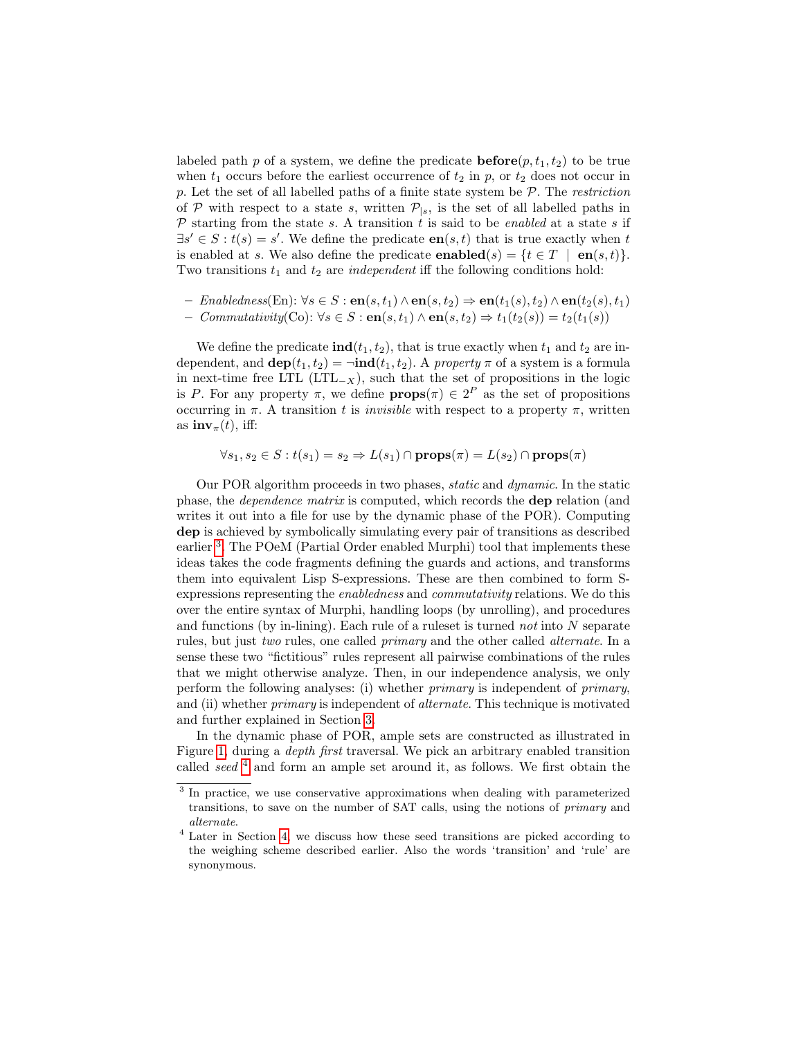labeled path p of a system, we define the predicate  $\mathbf{before}(p, t_1, t_2)$  to be true when  $t_1$  occurs before the earliest occurrence of  $t_2$  in p, or  $t_2$  does not occur in p. Let the set of all labelled paths of a finite state system be  $P$ . The *restriction* of P with respect to a state s, written  $\mathcal{P}_{|s}$ , is the set of all labelled paths in  $P$  starting from the state s. A transition t is said to be enabled at a state s if  $\exists s' \in S : t(s) = s'$ . We define the predicate  $en(s, t)$  that is true exactly when t is enabled at s. We also define the predicate **enabled** $(s) = \{t \in T \mid \mathbf{en}(s, t)\}.$ Two transitions  $t_1$  and  $t_2$  are *independent* iff the following conditions hold:

 $-$  Enabledness(En): ∀s ∈ S : en(s, t<sub>1</sub>) ∧ en(s, t<sub>2</sub>)  $\Rightarrow$  en(t<sub>1</sub>(s), t<sub>2</sub>) ∧ en(t<sub>2</sub>(s), t<sub>1</sub>) *– Commutativity*(Co):  $\forall s \in S$  : **en**(s, t<sub>1</sub>) ∧ **en**(s, t<sub>2</sub>)  $\Rightarrow$  t<sub>1</sub>(t<sub>2</sub>(s)) = t<sub>2</sub>(t<sub>1</sub>(s))

We define the predicate  $\text{ind}(t_1, t_2)$ , that is true exactly when  $t_1$  and  $t_2$  are independent, and  $\text{dep}(t_1, t_2) = \text{ind}(t_1, t_2)$ . A property  $\pi$  of a system is a formula in next-time free LTL (LTL<sub>-X</sub>), such that the set of propositions in the logic is P. For any property  $\pi$ , we define  $\mathbf{props}(\pi) \in 2^P$  as the set of propositions occurring in  $\pi$ . A transition t is *invisible* with respect to a property  $\pi$ , written as  $\mathbf{inv}_{\pi}(t)$ , iff:

$$
\forall s_1, s_2 \in S : t(s_1) = s_2 \Rightarrow L(s_1) \cap \text{props}(\pi) = L(s_2) \cap \text{props}(\pi)
$$

Our POR algorithm proceeds in two phases, static and dynamic. In the static phase, the dependence matrix is computed, which records the dep relation (and writes it out into a file for use by the dynamic phase of the POR). Computing dep is achieved by symbolically simulating every pair of transitions as described earlier<sup>[3](#page-4-0)</sup>. The POeM (Partial Order enabled Murphi) tool that implements these ideas takes the code fragments defining the guards and actions, and transforms them into equivalent Lisp S-expressions. These are then combined to form Sexpressions representing the enabledness and commutativity relations. We do this over the entire syntax of Murphi, handling loops (by unrolling), and procedures and functions (by in-lining). Each rule of a ruleset is turned not into  $N$  separate rules, but just two rules, one called primary and the other called alternate. In a sense these two "fictitious" rules represent all pairwise combinations of the rules that we might otherwise analyze. Then, in our independence analysis, we only perform the following analyses: (i) whether primary is independent of primary, and (ii) whether *primary* is independent of *alternate*. This technique is motivated and further explained in Section [3.](#page-5-0)

In the dynamic phase of POR, ample sets are constructed as illustrated in Figure [1,](#page-5-1) during a depth first traversal. We pick an arbitrary enabled transition called seed  $4$  and form an ample set around it, as follows. We first obtain the

<span id="page-4-0"></span><sup>&</sup>lt;sup>3</sup> In practice, we use conservative approximations when dealing with parameterized transitions, to save on the number of SAT calls, using the notions of primary and alternate.

<span id="page-4-1"></span><sup>4</sup> Later in Section [4,](#page-9-0) we discuss how these seed transitions are picked according to the weighing scheme described earlier. Also the words 'transition' and 'rule' are synonymous.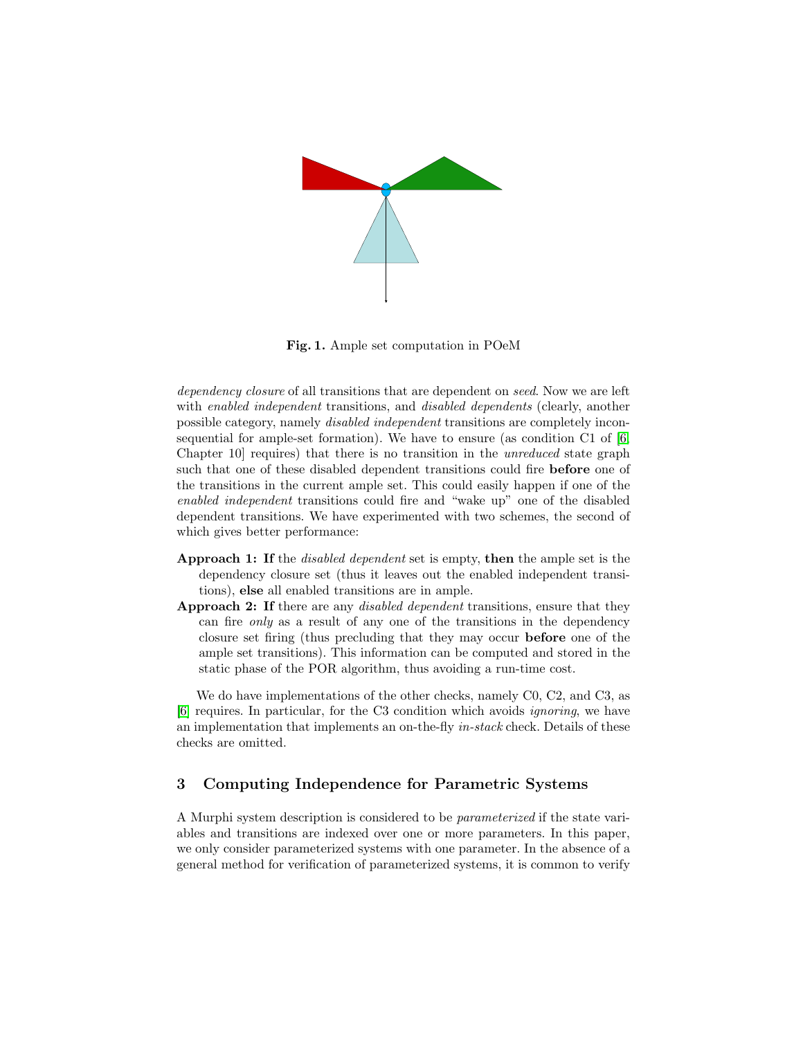

Fig. 1. Ample set computation in POeM

<span id="page-5-1"></span>dependency closure of all transitions that are dependent on seed. Now we are left with *enabled independent* transitions, and *disabled dependents* (clearly, another possible category, namely disabled independent transitions are completely inconsequential for ample-set formation). We have to ensure (as condition C1 of [\[6,](#page-16-4) Chapter 10] requires) that there is no transition in the unreduced state graph such that one of these disabled dependent transitions could fire before one of the transitions in the current ample set. This could easily happen if one of the enabled independent transitions could fire and "wake up" one of the disabled dependent transitions. We have experimented with two schemes, the second of which gives better performance:

- Approach 1: If the *disabled dependent* set is empty, then the ample set is the dependency closure set (thus it leaves out the enabled independent transitions), else all enabled transitions are in ample.
- Approach 2: If there are any *disabled dependent* transitions, ensure that they can fire only as a result of any one of the transitions in the dependency closure set firing (thus precluding that they may occur before one of the ample set transitions). This information can be computed and stored in the static phase of the POR algorithm, thus avoiding a run-time cost.

We do have implementations of the other checks, namely C0, C2, and C3, as [\[6\]](#page-16-4) requires. In particular, for the C3 condition which avoids ignoring, we have an implementation that implements an on-the-fly in-stack check. Details of these checks are omitted.

## <span id="page-5-0"></span>3 Computing Independence for Parametric Systems

A Murphi system description is considered to be parameterized if the state variables and transitions are indexed over one or more parameters. In this paper, we only consider parameterized systems with one parameter. In the absence of a general method for verification of parameterized systems, it is common to verify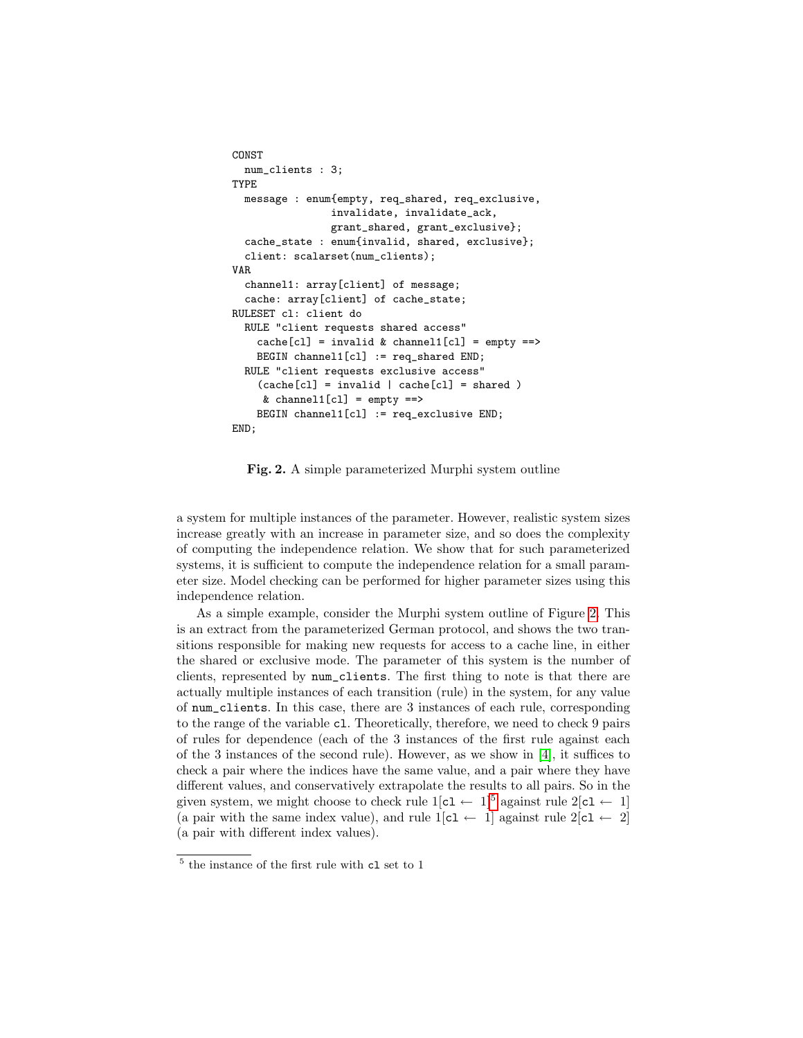```
CONST
  num_clients : 3;
TYPE
  message : enum{empty, req_shared, req_exclusive,
                invalidate, invalidate_ack,
                grant_shared, grant_exclusive};
  cache_state : enum{invalid, shared, exclusive};
  client: scalarset(num_clients);
VAR
  channel1: array[client] of message;
  cache: array[client] of cache_state;
RULESET cl: client do
  RULE "client requests shared access"
    cache[cl] = invalid & channel1[cl] = empty =>BEGIN channel1[cl] := req_shared END;
  RULE "client requests exclusive access"
    (cache[c] = invalid | cache[c] = shared)& channel1[cl] = empty ==>
    BEGIN channel1[cl] := req_exclusive END;
END;
```
<span id="page-6-0"></span>Fig. 2. A simple parameterized Murphi system outline

a system for multiple instances of the parameter. However, realistic system sizes increase greatly with an increase in parameter size, and so does the complexity of computing the independence relation. We show that for such parameterized systems, it is sufficient to compute the independence relation for a small parameter size. Model checking can be performed for higher parameter sizes using this independence relation.

As a simple example, consider the Murphi system outline of Figure [2.](#page-6-0) This is an extract from the parameterized German protocol, and shows the two transitions responsible for making new requests for access to a cache line, in either the shared or exclusive mode. The parameter of this system is the number of clients, represented by num\_clients. The first thing to note is that there are actually multiple instances of each transition (rule) in the system, for any value of num\_clients. In this case, there are 3 instances of each rule, corresponding to the range of the variable cl. Theoretically, therefore, we need to check 9 pairs of rules for dependence (each of the 3 instances of the first rule against each of the 3 instances of the second rule). However, as we show in [\[4\]](#page-16-6), it suffices to check a pair where the indices have the same value, and a pair where they have different values, and conservatively extrapolate the results to all pairs. So in the given system, we might choose to check rule  $1[c1 \leftarrow 1]^{5}$  $1[c1 \leftarrow 1]^{5}$  $1[c1 \leftarrow 1]^{5}$  against rule  $2[c1 \leftarrow 1]$ (a pair with the same index value), and rule  $1[c1 \leftarrow 1]$  against rule  $2[c1 \leftarrow 2]$ (a pair with different index values).

<span id="page-6-1"></span> $^5$  the instance of the first rule with  ${\tt cl}$  set to  $1$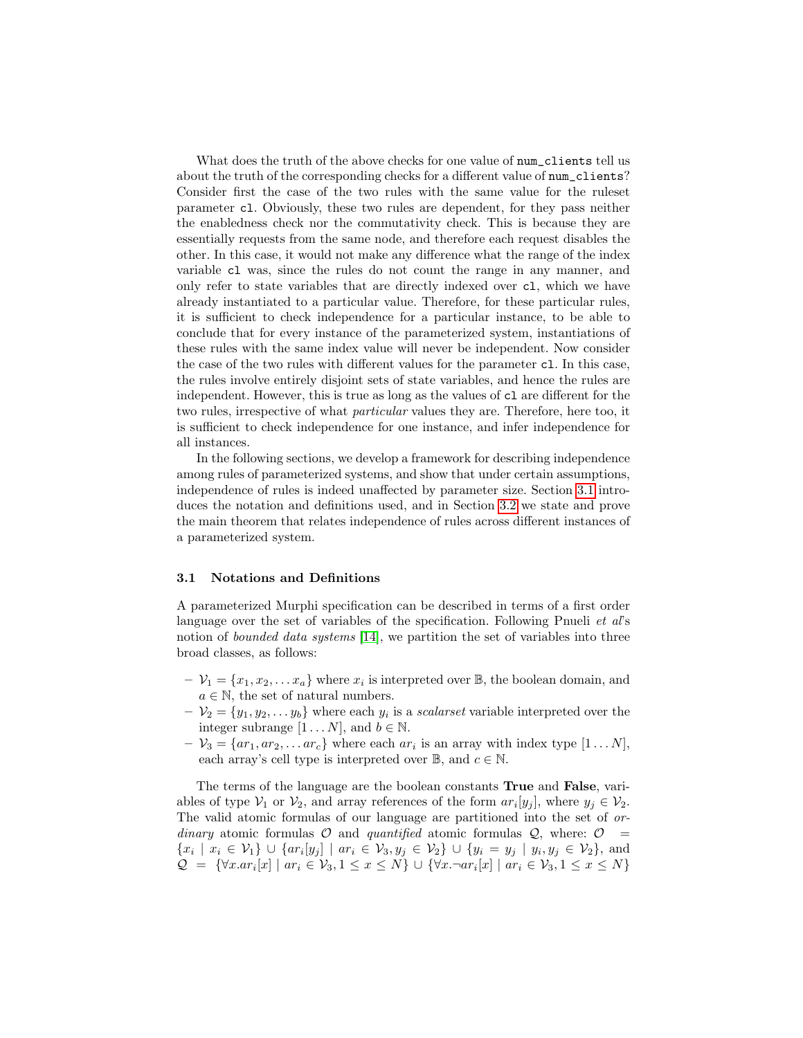What does the truth of the above checks for one value of  $num\_clients$  tell us about the truth of the corresponding checks for a different value of num\_clients? Consider first the case of the two rules with the same value for the ruleset parameter cl. Obviously, these two rules are dependent, for they pass neither the enabledness check nor the commutativity check. This is because they are essentially requests from the same node, and therefore each request disables the other. In this case, it would not make any difference what the range of the index variable cl was, since the rules do not count the range in any manner, and only refer to state variables that are directly indexed over cl, which we have already instantiated to a particular value. Therefore, for these particular rules, it is sufficient to check independence for a particular instance, to be able to conclude that for every instance of the parameterized system, instantiations of these rules with the same index value will never be independent. Now consider the case of the two rules with different values for the parameter cl. In this case, the rules involve entirely disjoint sets of state variables, and hence the rules are independent. However, this is true as long as the values of cl are different for the two rules, irrespective of what particular values they are. Therefore, here too, it is sufficient to check independence for one instance, and infer independence for all instances.

In the following sections, we develop a framework for describing independence among rules of parameterized systems, and show that under certain assumptions, independence of rules is indeed unaffected by parameter size. Section [3.1](#page-7-0) introduces the notation and definitions used, and in Section [3.2](#page-8-0) we state and prove the main theorem that relates independence of rules across different instances of a parameterized system.

#### <span id="page-7-0"></span>3.1 Notations and Definitions

A parameterized Murphi specification can be described in terms of a first order language over the set of variables of the specification. Following Pnueli *et al's* notion of *bounded data systems* [\[14\]](#page-16-7), we partition the set of variables into three broad classes, as follows:

- $-V_1 = \{x_1, x_2, \dots x_a\}$  where  $x_i$  is interpreted over  $\mathbb{B}$ , the boolean domain, and  $a \in \mathbb{N}$ , the set of natural numbers.
- $-V_2 = \{y_1, y_2, \ldots, y_b\}$  where each  $y_i$  is a *scalarset* variable interpreted over the integer subrange  $[1 \dots N]$ , and  $b \in \mathbb{N}$ .
- $-V_3 = \{ar_1, ar_2, \dots ar_c\}$  where each  $ar_i$  is an array with index type  $[1 \dots N]$ , each array's cell type is interpreted over  $\mathbb{B}$ , and  $c \in \mathbb{N}$ .

The terms of the language are the boolean constants True and False, variables of type  $V_1$  or  $V_2$ , and array references of the form  $ar_i[y_j]$ , where  $y_j \in V_2$ . The valid atomic formulas of our language are partitioned into the set of ordinary atomic formulas  $\mathcal O$  and quantified atomic formulas  $\mathcal Q$ , where:  $\mathcal O$  =  ${x_i \mid x_i \in V_1} \cup \{ar_i[y_j] \mid ar_i \in V_3, y_j \in V_2\} \cup \{y_i = y_j \mid y_i, y_j \in V_2\}$ , and  $\mathcal{Q} = \{ \forall x . a r_i[x] \mid ar_i \in \mathcal{V}_3, 1 \leq x \leq N \} \cup \{ \forall x . \neg ar_i[x] \mid ar_i \in \mathcal{V}_3, 1 \leq x \leq N \}$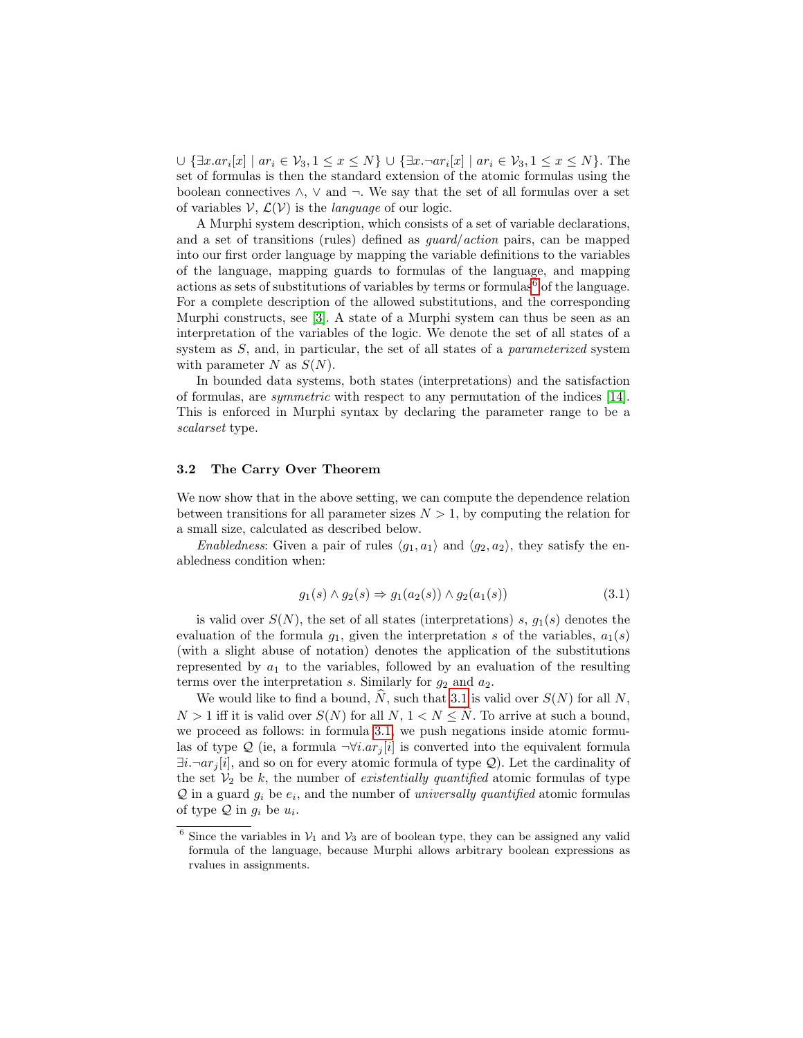$\cup \{\exists x. ar_i[x] \mid ar_i \in V_3, 1 \leq x \leq N\} \cup \{\exists x. \neg ar_i[x] \mid ar_i \in V_3, 1 \leq x \leq N\}.$  The set of formulas is then the standard extension of the atomic formulas using the boolean connectives  $\wedge$ ,  $\vee$  and  $\neg$ . We say that the set of all formulas over a set of variables  $V, \mathcal{L}(V)$  is the *language* of our logic.

A Murphi system description, which consists of a set of variable declarations, and a set of transitions (rules) defined as guard/action pairs, can be mapped into our first order language by mapping the variable definitions to the variables of the language, mapping guards to formulas of the language, and mapping actions as sets of substitutions of variables by terms or formulas<sup>[6](#page-8-1)</sup> of the language. For a complete description of the allowed substitutions, and the corresponding Murphi constructs, see [\[3\]](#page-16-8). A state of a Murphi system can thus be seen as an interpretation of the variables of the logic. We denote the set of all states of a system as S, and, in particular, the set of all states of a *parameterized* system with parameter N as  $S(N)$ .

In bounded data systems, both states (interpretations) and the satisfaction of formulas, are symmetric with respect to any permutation of the indices [\[14\]](#page-16-7). This is enforced in Murphi syntax by declaring the parameter range to be a scalarset type.

#### <span id="page-8-0"></span>3.2 The Carry Over Theorem

We now show that in the above setting, we can compute the dependence relation between transitions for all parameter sizes  $N > 1$ , by computing the relation for a small size, calculated as described below.

Enabledness: Given a pair of rules  $\langle g_1, a_1 \rangle$  and  $\langle g_2, a_2 \rangle$ , they satisfy the enabledness condition when:

<span id="page-8-2"></span>
$$
g_1(s) \land g_2(s) \Rightarrow g_1(a_2(s)) \land g_2(a_1(s))
$$
\n
$$
(3.1)
$$

is valid over  $S(N)$ , the set of all states (interpretations) s,  $g_1(s)$  denotes the evaluation of the formula  $g_1$ , given the interpretation s of the variables,  $a_1(s)$ (with a slight abuse of notation) denotes the application of the substitutions represented by  $a_1$  to the variables, followed by an evaluation of the resulting terms over the interpretation s. Similarly for  $g_2$  and  $a_2$ .

We would like to find a bound,  $\hat{N}$ , such that [3.1](#page-8-2) is valid over  $S(N)$  for all N,  $N > 1$  iff it is valid over  $S(N)$  for all  $N, 1 < N < \hat{N}$ . To arrive at such a bound, we proceed as follows: in formula [3.1,](#page-8-2) we push negations inside atomic formulas of type Q (ie, a formula  $\neg \forall i. a r_i[i]$  is converted into the equivalent formula  $\exists i. \neg ar_j[i]$ , and so on for every atomic formula of type Q). Let the cardinality of the set  $V_2$  be k, the number of existentially quantified atomic formulas of type  $\mathcal Q$  in a guard  $g_i$  be  $e_i$ , and the number of universally quantified atomic formulas of type  $\mathcal Q$  in  $g_i$  be  $u_i$ .

<span id="page-8-1"></span><sup>&</sup>lt;sup>6</sup> Since the variables in  $V_1$  and  $V_3$  are of boolean type, they can be assigned any valid formula of the language, because Murphi allows arbitrary boolean expressions as rvalues in assignments.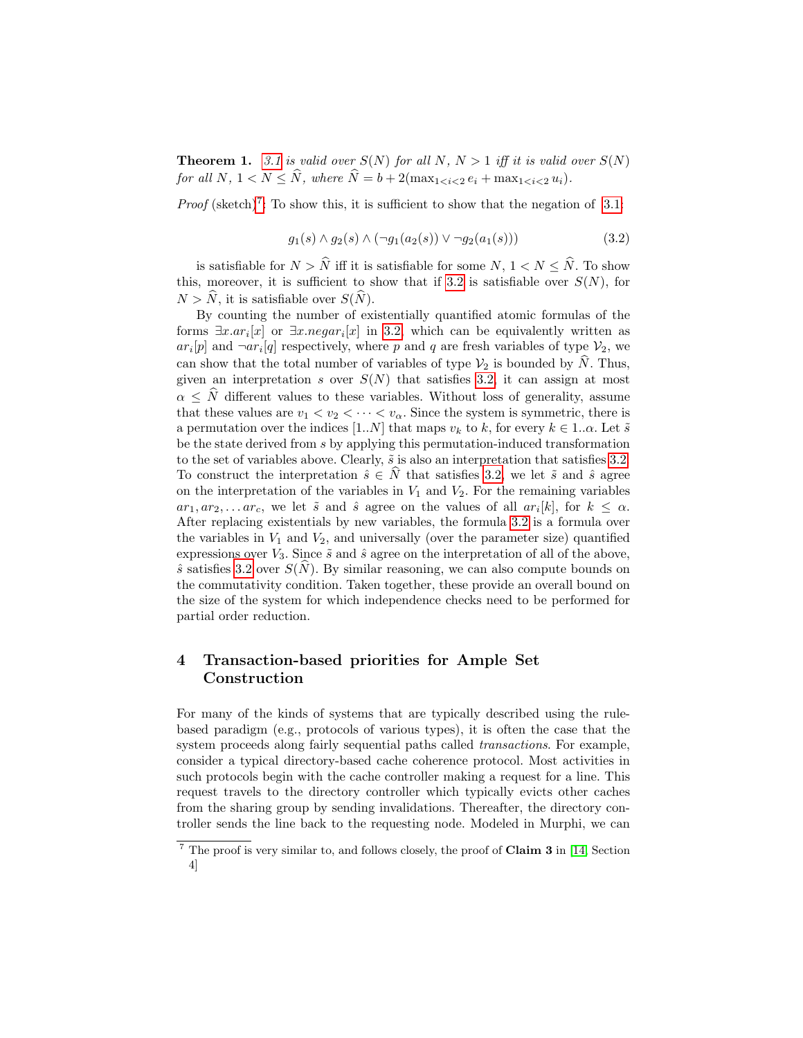**Theorem 1.** [3.1](#page-8-2) is valid over  $S(N)$  for all N,  $N > 1$  iff it is valid over  $S(N)$ for all N,  $1 < N \leq \hat{N}$ , where  $\hat{N} = b + 2(\max_{1 \leq i \leq 2} e_i + \max_{1 \leq i \leq 2} u_i)$ .

*Proof* (sketch)<sup>[7](#page-9-1)</sup>: To show this, it is sufficient to show that the negation of [3.1:](#page-8-2)

<span id="page-9-2"></span>
$$
g_1(s) \wedge g_2(s) \wedge (\neg g_1(a_2(s)) \vee \neg g_2(a_1(s))) \tag{3.2}
$$

is satisfiable for  $N > \hat{N}$  iff it is satisfiable for some  $N, 1 < N < \hat{N}$ . To show this, moreover, it is sufficient to show that if [3.2](#page-9-2) is satisfiable over  $S(N)$ , for  $N > \hat{N}$ , it is satisfiable over  $S(\hat{N})$ .

By counting the number of existentially quantified atomic formulas of the forms  $\exists x . a r_i[x]$  or  $\exists x . negar_i[x]$  in [3.2,](#page-9-2) which can be equivalently written as  $ar_i[p]$  and  $\neg ar_i[q]$  respectively, where p and q are fresh variables of type  $\mathcal{V}_2$ , we can show that the total number of variables of type  $\mathcal{V}_2$  is bounded by N. Thus, given an interpretation s over  $S(N)$  that satisfies [3.2,](#page-9-2) it can assign at most  $\alpha \leq \hat{N}$  different values to these variables. Without loss of generality, assume that these values are  $v_1 < v_2 < \cdots < v_\alpha$ . Since the system is symmetric, there is a permutation over the indices [1..N] that maps  $v_k$  to k, for every  $k \in 1..\alpha$ . Let  $\tilde{s}$ be the state derived from s by applying this permutation-induced transformation to the set of variables above. Clearly,  $\tilde{s}$  is also an interpretation that satisfies [3.2.](#page-9-2) To construct the interpretation  $\hat{s} \in \hat{N}$  that satisfies [3.2,](#page-9-2) we let  $\tilde{s}$  and  $\hat{s}$  agree on the interpretation of the variables in  $V_1$  and  $V_2$ . For the remaining variables  $ar_1, ar_2, \ldots ar_c$ , we let  $\tilde{s}$  and  $\hat{s}$  agree on the values of all  $ar_i[k]$ , for  $k \leq \alpha$ . After replacing existentials by new variables, the formula [3.2](#page-9-2) is a formula over the variables in  $V_1$  and  $V_2$ , and universally (over the parameter size) quantified expressions over  $V_3$ . Since  $\tilde{s}$  and  $\hat{s}$  agree on the interpretation of all of the above,  $\hat{s}$  satisfies [3.2](#page-9-2) over  $S(\widehat{N})$ . By similar reasoning, we can also compute bounds on the commutativity condition. Taken together, these provide an overall bound on the size of the system for which independence checks need to be performed for partial order reduction.

# <span id="page-9-0"></span>4 Transaction-based priorities for Ample Set Construction

For many of the kinds of systems that are typically described using the rulebased paradigm (e.g., protocols of various types), it is often the case that the system proceeds along fairly sequential paths called transactions. For example, consider a typical directory-based cache coherence protocol. Most activities in such protocols begin with the cache controller making a request for a line. This request travels to the directory controller which typically evicts other caches from the sharing group by sending invalidations. Thereafter, the directory controller sends the line back to the requesting node. Modeled in Murphi, we can

<span id="page-9-1"></span> $\frac{7}{7}$  The proof is very similar to, and follows closely, the proof of Claim 3 in [\[14,](#page-16-7) Section] 4]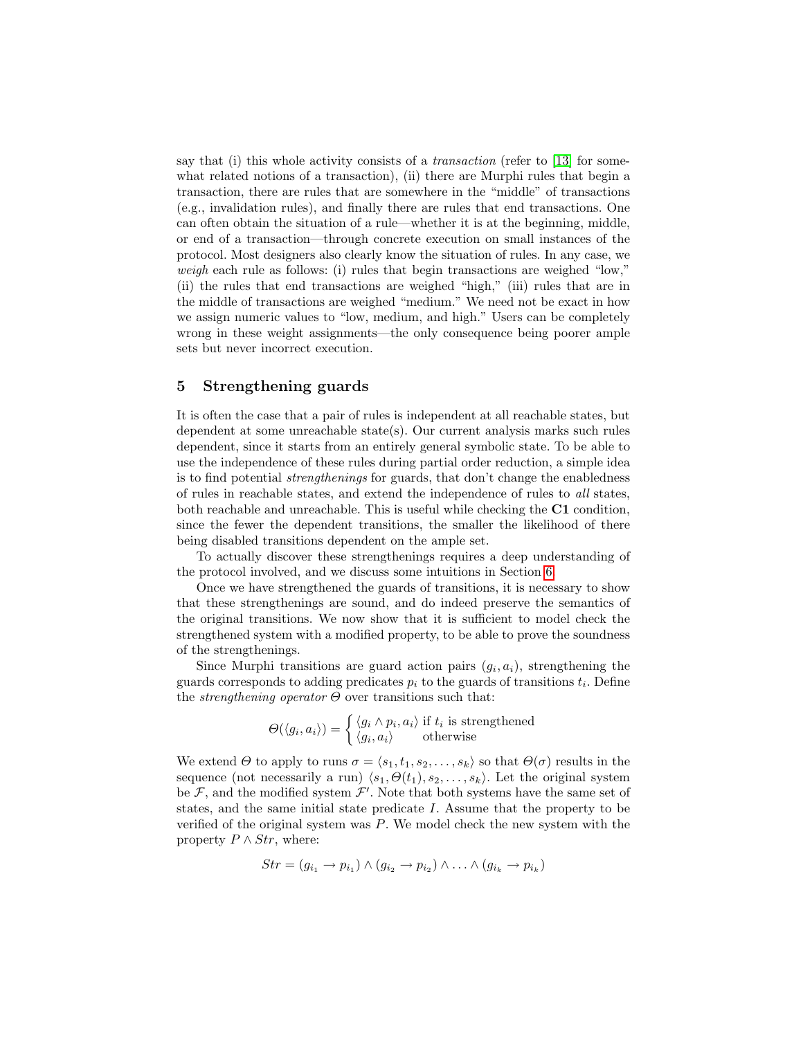say that (i) this whole activity consists of a *transaction* (refer to  $[13]$  for somewhat related notions of a transaction), (ii) there are Murphi rules that begin a transaction, there are rules that are somewhere in the "middle" of transactions (e.g., invalidation rules), and finally there are rules that end transactions. One can often obtain the situation of a rule—whether it is at the beginning, middle, or end of a transaction—through concrete execution on small instances of the protocol. Most designers also clearly know the situation of rules. In any case, we weigh each rule as follows: (i) rules that begin transactions are weighed "low," (ii) the rules that end transactions are weighed "high," (iii) rules that are in the middle of transactions are weighed "medium." We need not be exact in how we assign numeric values to "low, medium, and high." Users can be completely wrong in these weight assignments—the only consequence being poorer ample sets but never incorrect execution.

### <span id="page-10-0"></span>5 Strengthening guards

It is often the case that a pair of rules is independent at all reachable states, but dependent at some unreachable state(s). Our current analysis marks such rules dependent, since it starts from an entirely general symbolic state. To be able to use the independence of these rules during partial order reduction, a simple idea is to find potential strengthenings for guards, that don't change the enabledness of rules in reachable states, and extend the independence of rules to all states, both reachable and unreachable. This is useful while checking the C1 condition, since the fewer the dependent transitions, the smaller the likelihood of there being disabled transitions dependent on the ample set.

To actually discover these strengthenings requires a deep understanding of the protocol involved, and we discuss some intuitions in Section [6.](#page-11-0)

Once we have strengthened the guards of transitions, it is necessary to show that these strengthenings are sound, and do indeed preserve the semantics of the original transitions. We now show that it is sufficient to model check the strengthened system with a modified property, to be able to prove the soundness of the strengthenings.

Since Murphi transitions are guard action pairs  $(g_i, a_i)$ , strengthening the guards corresponds to adding predicates  $p_i$  to the guards of transitions  $t_i$ . Define the *strengthening operator*  $\Theta$  over transitions such that:

$$
\Theta(\langle g_i, a_i \rangle) = \begin{cases} \langle g_i \wedge p_i, a_i \rangle & \text{if } t_i \text{ is strengthened} \\ \langle g_i, a_i \rangle & \text{otherwise} \end{cases}
$$

We extend  $\Theta$  to apply to runs  $\sigma = \langle s_1, t_1, s_2, \ldots, s_k \rangle$  so that  $\Theta(\sigma)$  results in the sequence (not necessarily a run)  $\langle s_1, \Theta(t_1), s_2, \ldots, s_k \rangle$ . Let the original system be  $\mathcal{F}$ , and the modified system  $\mathcal{F}'$ . Note that both systems have the same set of states, and the same initial state predicate I. Assume that the property to be verified of the original system was P. We model check the new system with the property  $P \wedge Str$ , where:

$$
Str = (g_{i_1} \rightarrow p_{i_1}) \land (g_{i_2} \rightarrow p_{i_2}) \land \ldots \land (g_{i_k} \rightarrow p_{i_k})
$$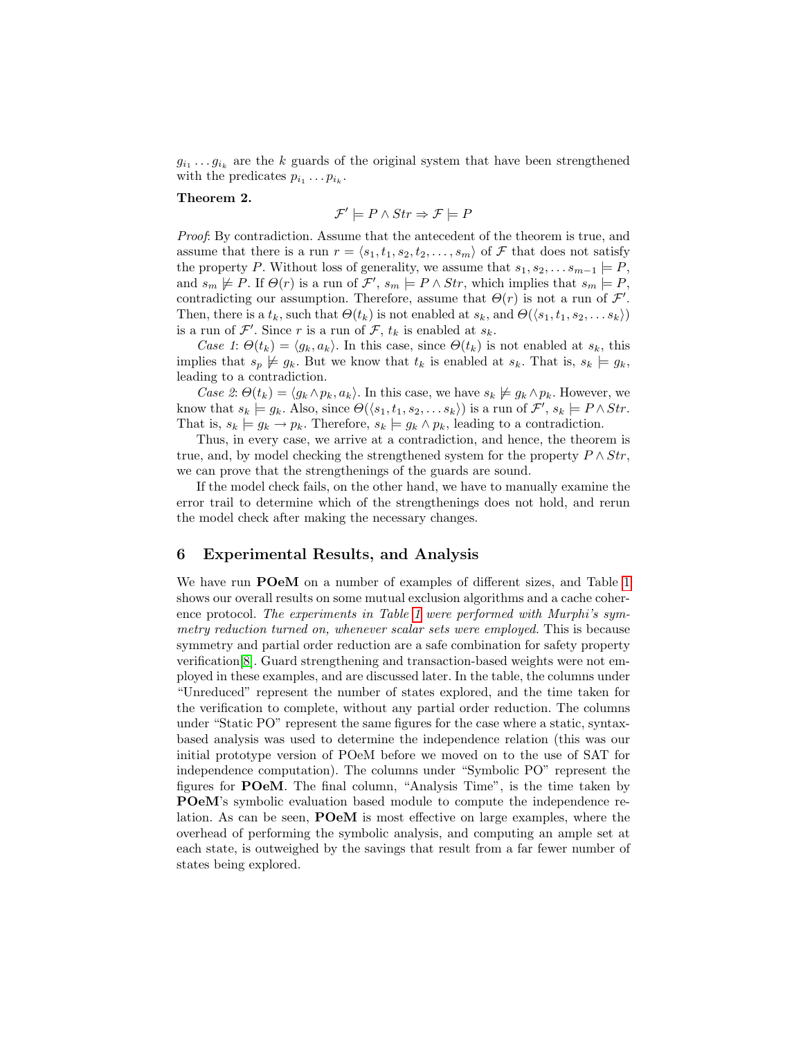$g_{i_1} \ldots g_{i_k}$  are the k guards of the original system that have been strengthened with the predicates  $p_{i_1} \dots p_{i_k}$ .

#### Theorem 2.

$$
\mathcal{F}' \models P \land Str \Rightarrow \mathcal{F} \models P
$$

Proof: By contradiction. Assume that the antecedent of the theorem is true, and assume that there is a run  $r = \langle s_1, t_1, s_2, t_2, \ldots, s_m \rangle$  of F that does not satisfy the property P. Without loss of generality, we assume that  $s_1, s_2, \ldots s_{m-1} \models P$ , and  $s_m \not\models P$ . If  $\Theta(r)$  is a run of  $\mathcal{F}', s_m \models P \wedge Str$ , which implies that  $s_m \models P$ , contradicting our assumption. Therefore, assume that  $\Theta(r)$  is not a run of  $\mathcal{F}'$ . Then, there is a  $t_k$ , such that  $\Theta(t_k)$  is not enabled at  $s_k$ , and  $\Theta(\langle s_1, t_1, s_2, \ldots s_k \rangle)$ is a run of  $\mathcal{F}'$ . Since r is a run of  $\mathcal{F}$ ,  $t_k$  is enabled at  $s_k$ .

Case 1:  $\Theta(t_k) = \langle g_k, a_k \rangle$ . In this case, since  $\Theta(t_k)$  is not enabled at  $s_k$ , this implies that  $s_p \not\models g_k$ . But we know that  $t_k$  is enabled at  $s_k$ . That is,  $s_k \models g_k$ , leading to a contradiction.

Case 2:  $\Theta(t_k) = \langle g_k \wedge p_k, a_k \rangle$ . In this case, we have  $s_k \not\models g_k \wedge p_k$ . However, we know that  $s_k \models g_k$ . Also, since  $\Theta(\langle s_1, t_1, s_2, \ldots s_k \rangle)$  is a run of  $\mathcal{F}', s_k \models P \wedge Str$ . That is,  $s_k \models g_k \rightarrow p_k$ . Therefore,  $s_k \models g_k \land p_k$ , leading to a contradiction.

Thus, in every case, we arrive at a contradiction, and hence, the theorem is true, and, by model checking the strengthened system for the property  $P \wedge Str$ , we can prove that the strengthenings of the guards are sound.

If the model check fails, on the other hand, we have to manually examine the error trail to determine which of the strengthenings does not hold, and rerun the model check after making the necessary changes.

## <span id="page-11-0"></span>6 Experimental Results, and Analysis

We have run POeM on a number of examples of different sizes, and Table [1](#page-12-0) shows our overall results on some mutual exclusion algorithms and a cache coher-ence protocol. The experiments in Table [1](#page-12-0) were performed with Murphi's symmetry reduction turned on, whenever scalar sets were employed. This is because symmetry and partial order reduction are a safe combination for safety property verification[\[8\]](#page-16-10). Guard strengthening and transaction-based weights were not employed in these examples, and are discussed later. In the table, the columns under "Unreduced" represent the number of states explored, and the time taken for the verification to complete, without any partial order reduction. The columns under "Static PO" represent the same figures for the case where a static, syntaxbased analysis was used to determine the independence relation (this was our initial prototype version of POeM before we moved on to the use of SAT for independence computation). The columns under "Symbolic PO" represent the figures for POeM. The final column, "Analysis Time", is the time taken by POeM's symbolic evaluation based module to compute the independence relation. As can be seen, POeM is most effective on large examples, where the overhead of performing the symbolic analysis, and computing an ample set at each state, is outweighed by the savings that result from a far fewer number of states being explored.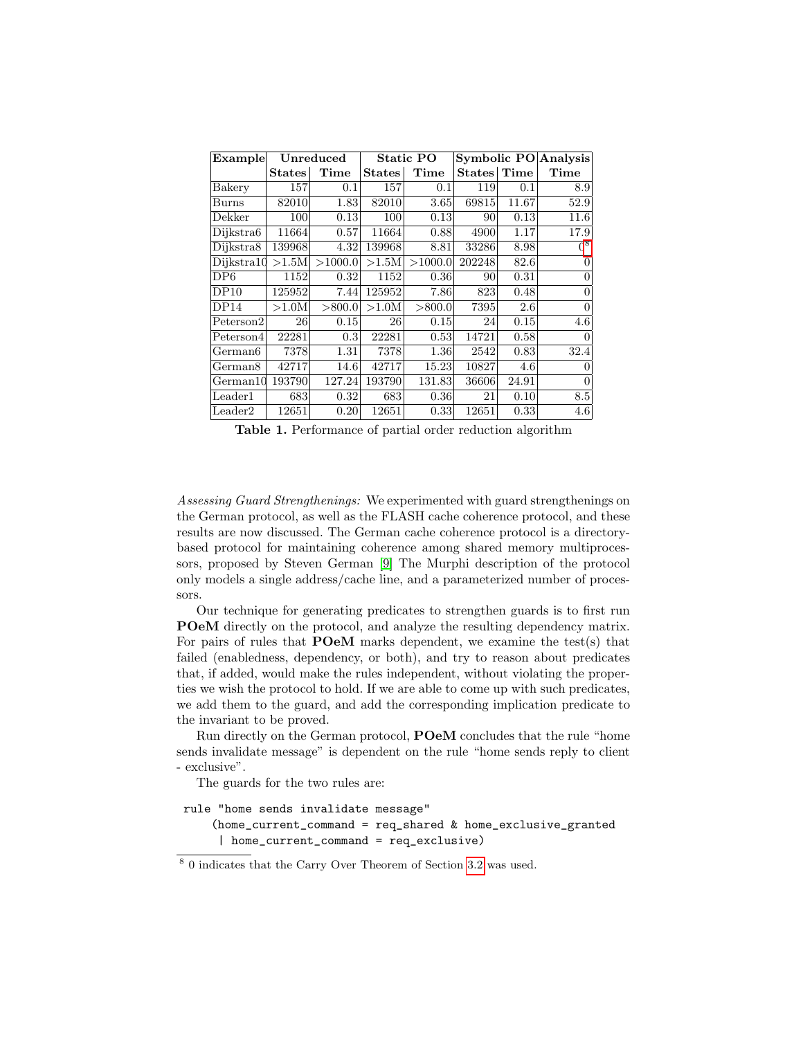| Example                   | Unreduced |         | <b>Static PO</b> |         |               | Symbolic PO Analysis |       |
|---------------------------|-----------|---------|------------------|---------|---------------|----------------------|-------|
|                           | States    | Time    | States           | Time    | <b>States</b> | Time                 | Time  |
| Bakery                    | 157       | 0.1     | 157              | 0.1     | 119           | 0.1                  | 8.9   |
| Burns                     | 82010     | 1.83    | 82010            | 3.65    | 69815         | 11.67                | 52.9  |
| Dekker                    | 100       | 0.13    | 100              | 0.13    | 90            | 0.13                 | 11.6  |
| Dijkstra6                 | 11664     | 0.57    | 11664            | 0.88    | 4900          | 1.17                 | 17.9  |
| Dijkstra8                 | 139968    | 4.32    | 139968           | 8.81    | 33286         | 8.98                 | $0^8$ |
| Dijkstra10                | >1.5M     | >1000.0 | >1.5M            | >1000.0 | 202248        | 82.6                 |       |
| DP6                       | 1152      | 0.32    | 1152             | 0.36    | 90            | 0.31                 | 0     |
| DP10                      | 125952    | 7.44    | 125952           | 7.86    | 823           | 0.48                 | 0     |
| DP14                      | >1.0M     | > 800.0 | >1.0M            | > 800.0 | 7395          | 2.6                  | 0     |
| Peterson2                 | 26        | 0.15    | 26               | 0.15    | 24            | 0.15                 | 4.6   |
| Peterson4                 | 22281     | 0.3     | 22281            | 0.53    | 14721         | 0.58                 |       |
| German <sub>6</sub>       | 7378      | 1.31    | 7378             | 1.36    | 2542          | 0.83                 | 32.4  |
| German <sub>8</sub>       | 42717     | 14.6    | 42717            | 15.23   | 10827         | 4.6                  |       |
| $\operatorname{German10}$ | 193790    | 127.24  | 193790           | 131.83  | 36606         | 24.91                |       |
| $\rm Leader1$             | 683       | 0.32    | 683              | 0.36    | 21            | 0.10                 | 8.5   |
| Leader2                   | 12651     | 0.20    | 12651            | 0.33    | 12651         | 0.33                 | 4.6   |

<span id="page-12-0"></span>Table 1. Performance of partial order reduction algorithm

Assessing Guard Strengthenings: We experimented with guard strengthenings on the German protocol, as well as the FLASH cache coherence protocol, and these results are now discussed. The German cache coherence protocol is a directorybased protocol for maintaining coherence among shared memory multiprocessors, proposed by Steven German [\[9\]](#page-16-11) The Murphi description of the protocol only models a single address/cache line, and a parameterized number of processors.

Our technique for generating predicates to strengthen guards is to first run POeM directly on the protocol, and analyze the resulting dependency matrix. For pairs of rules that **POeM** marks dependent, we examine the test(s) that failed (enabledness, dependency, or both), and try to reason about predicates that, if added, would make the rules independent, without violating the properties we wish the protocol to hold. If we are able to come up with such predicates, we add them to the guard, and add the corresponding implication predicate to the invariant to be proved.

Run directly on the German protocol, POeM concludes that the rule "home sends invalidate message" is dependent on the rule "home sends reply to client - exclusive".

The guards for the two rules are:

```
rule "home sends invalidate message"
    (home_current_command = req_shared & home_exclusive_granted
     | home_current_command = req_exclusive)
```
<span id="page-12-1"></span><sup>8</sup> 0 indicates that the Carry Over Theorem of Section [3.2](#page-8-0) was used.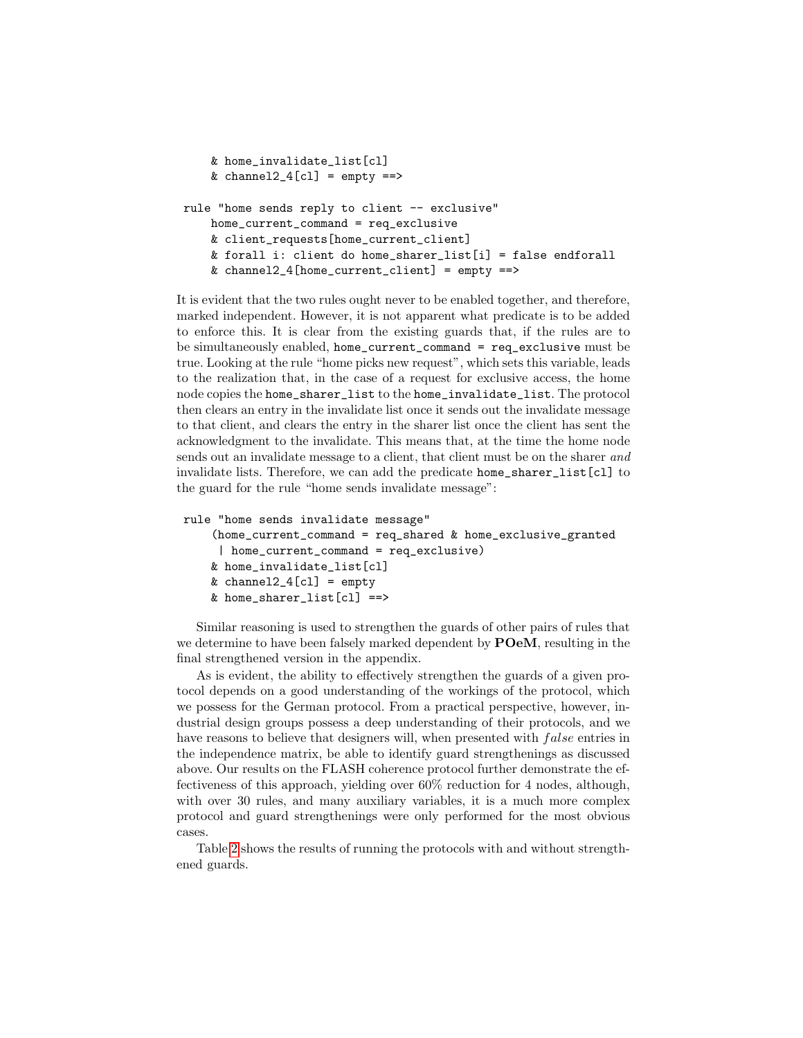```
& home_invalidate_list[cl]
    & channel2_4[cl] = empty ==>
rule "home sends reply to client -- exclusive"
   home_current_command = req_exclusive
    & client_requests[home_current_client]
    & forall i: client do home_sharer_list[i] = false endforall
    & channel2_4[home_current_client] = empty ==
```
It is evident that the two rules ought never to be enabled together, and therefore, marked independent. However, it is not apparent what predicate is to be added to enforce this. It is clear from the existing guards that, if the rules are to be simultaneously enabled, home\_current\_command = req\_exclusive must be true. Looking at the rule "home picks new request", which sets this variable, leads to the realization that, in the case of a request for exclusive access, the home node copies the home\_sharer\_list to the home\_invalidate\_list. The protocol then clears an entry in the invalidate list once it sends out the invalidate message to that client, and clears the entry in the sharer list once the client has sent the acknowledgment to the invalidate. This means that, at the time the home node sends out an invalidate message to a client, that client must be on the sharer and invalidate lists. Therefore, we can add the predicate home\_sharer\_list[cl] to the guard for the rule "home sends invalidate message":

```
rule "home sends invalidate message"
    (home_current_command = req_shared & home_exclusive_granted
     | home_current_command = req_exclusive)
    & home_invalidate_list[cl]
    & channel2_4[cl] = empty
    & home_sharer_list[cl] ==>
```
Similar reasoning is used to strengthen the guards of other pairs of rules that we determine to have been falsely marked dependent by **POeM**, resulting in the final strengthened version in the appendix.

As is evident, the ability to effectively strengthen the guards of a given protocol depends on a good understanding of the workings of the protocol, which we possess for the German protocol. From a practical perspective, however, industrial design groups possess a deep understanding of their protocols, and we have reasons to believe that designers will, when presented with *false* entries in the independence matrix, be able to identify guard strengthenings as discussed above. Our results on the FLASH coherence protocol further demonstrate the effectiveness of this approach, yielding over 60% reduction for 4 nodes, although, with over 30 rules, and many auxiliary variables, it is a much more complex protocol and guard strengthenings were only performed for the most obvious cases.

Table [2](#page-14-0) shows the results of running the protocols with and without strengthened guards.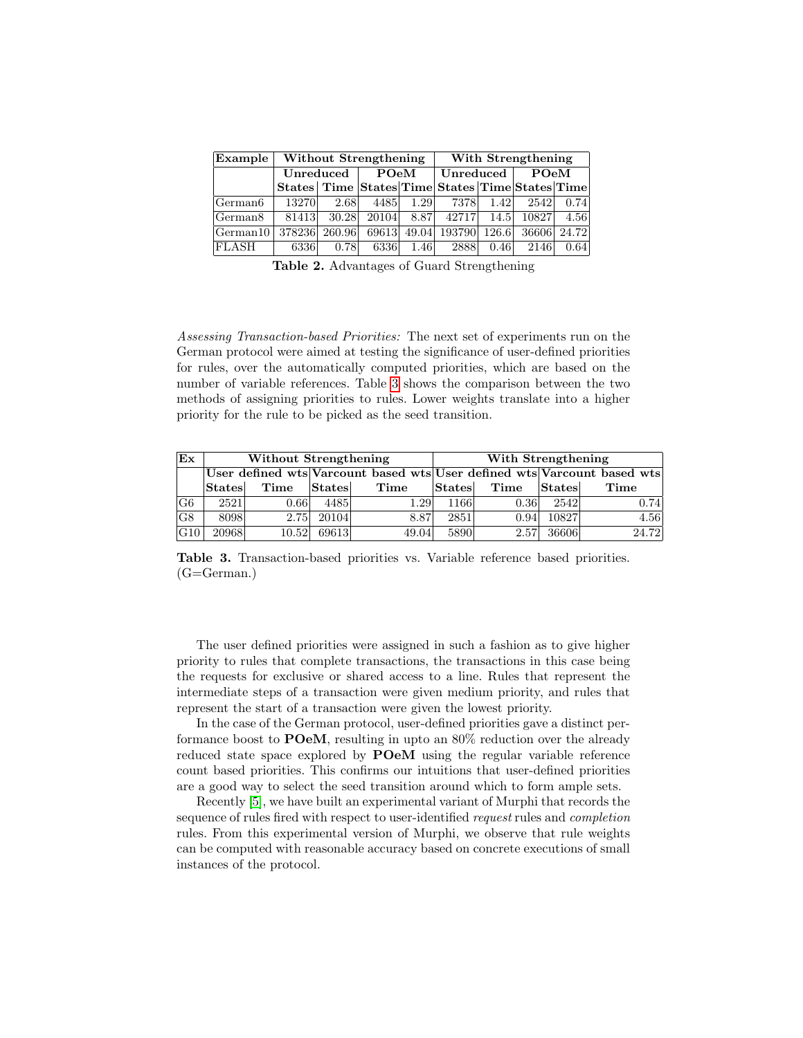| Example   Without Strengthening |               |      |             | With Strengthening |                                                 |           |               |       |
|---------------------------------|---------------|------|-------------|--------------------|-------------------------------------------------|-----------|---------------|-------|
|                                 | Unreduced     |      | $\bf{Po}$ M |                    | Unreduced                                       |           | $\bf P O e M$ |       |
|                                 |               |      |             |                    | States Time States Time States Time States Time |           |               |       |
| German <sub>6</sub>             | 13270         | 2.68 | 4485        | 1.29               |                                                 | 7378 1.42 | 2542          | 0.74  |
| German <sub>8</sub>             | 81413         |      |             |                    | 30.28 20104 8.87 42717 14.5 10827               |           |               | 4.56  |
| $\sqrt{\text{German10}}$        | 378236 260.96 |      | 69613       |                    | 49.04 193790                                    | 126.6     | 36606         | 24.72 |
| FLASH                           | 6336          | 0.78 | 6336        | 1.46               | 2888                                            | 0.46      | 2146          | 0.64  |

<span id="page-14-0"></span>Table 2. Advantages of Guard Strengthening

Assessing Transaction-based Priorities: The next set of experiments run on the German protocol were aimed at testing the significance of user-defined priorities for rules, over the automatically computed priorities, which are based on the number of variable references. Table [3](#page-14-1) shows the comparison between the two methods of assigning priorities to rules. Lower weights translate into a higher priority for the rule to be picked as the seed transition.

| Ex             | Without Strengthening |       |                                                                         |       | With Strengthening  |      |                     |       |  |
|----------------|-----------------------|-------|-------------------------------------------------------------------------|-------|---------------------|------|---------------------|-------|--|
|                |                       |       | User defined wts Varcount based wts User defined wts Varcount based wts |       |                     |      |                     |       |  |
|                | States                | Time  | $ \mathrm{States} $                                                     | Time  | $ \mathrm{States} $ | Time | $ \mathrm{States} $ | Time  |  |
| G <sub>6</sub> | 2521                  | 0.66  | 4485                                                                    | 1.29  | 1166                | 0.36 | 2542                | 0.74  |  |
| G8             | 8098                  | 2.75  | 20104                                                                   | 8.87  | 2851                | 0.94 | 10827               | 4.56  |  |
| $ G10\rangle$  | 20968                 | 10.52 | 69613                                                                   | 49.04 | 5890                | 2.57 | 36606               | 24.72 |  |

<span id="page-14-1"></span>Table 3. Transaction-based priorities vs. Variable reference based priorities.  $(G=German.)$ 

The user defined priorities were assigned in such a fashion as to give higher priority to rules that complete transactions, the transactions in this case being the requests for exclusive or shared access to a line. Rules that represent the intermediate steps of a transaction were given medium priority, and rules that represent the start of a transaction were given the lowest priority.

In the case of the German protocol, user-defined priorities gave a distinct performance boost to POeM, resulting in upto an 80% reduction over the already reduced state space explored by POeM using the regular variable reference count based priorities. This confirms our intuitions that user-defined priorities are a good way to select the seed transition around which to form ample sets.

Recently [\[5\]](#page-16-12), we have built an experimental variant of Murphi that records the sequence of rules fired with respect to user-identified request rules and completion rules. From this experimental version of Murphi, we observe that rule weights can be computed with reasonable accuracy based on concrete executions of small instances of the protocol.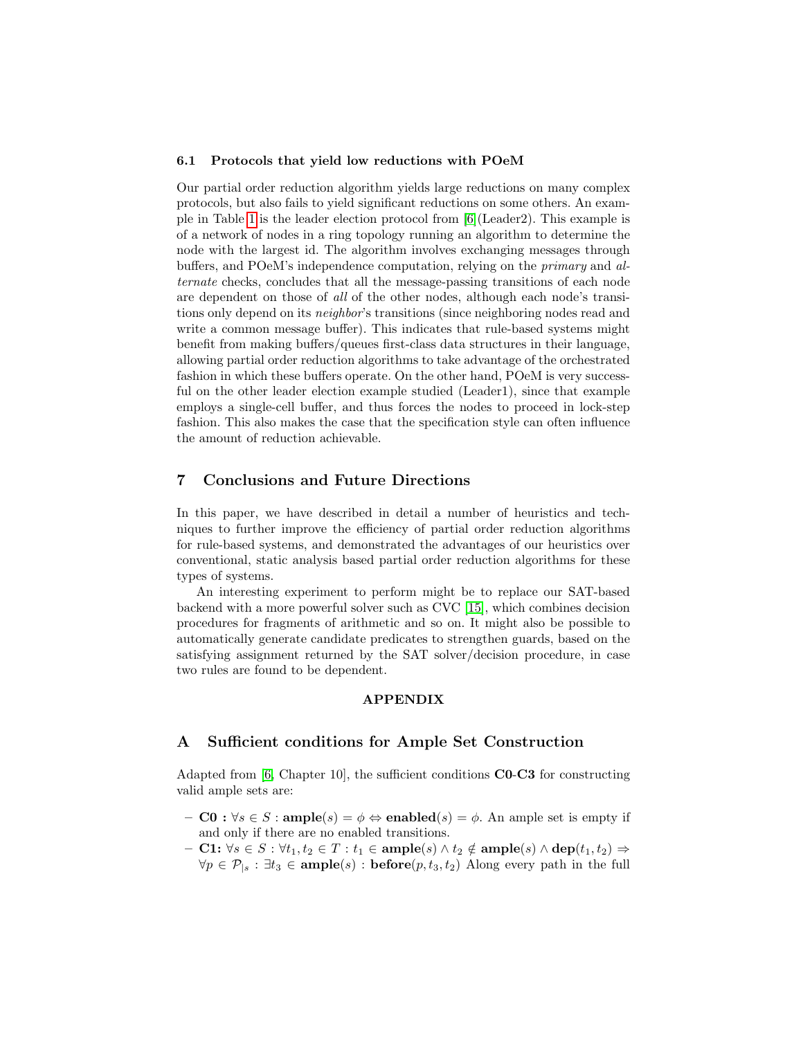#### 6.1 Protocols that yield low reductions with POeM

Our partial order reduction algorithm yields large reductions on many complex protocols, but also fails to yield significant reductions on some others. An example in Table [1](#page-12-0) is the leader election protocol from [\[6\]](#page-16-4)(Leader2). This example is of a network of nodes in a ring topology running an algorithm to determine the node with the largest id. The algorithm involves exchanging messages through buffers, and POeM's independence computation, relying on the primary and alternate checks, concludes that all the message-passing transitions of each node are dependent on those of all of the other nodes, although each node's transitions only depend on its *neighbor's* transitions (since neighboring nodes read and write a common message buffer). This indicates that rule-based systems might benefit from making buffers/queues first-class data structures in their language, allowing partial order reduction algorithms to take advantage of the orchestrated fashion in which these buffers operate. On the other hand, POeM is very successful on the other leader election example studied (Leader1), since that example employs a single-cell buffer, and thus forces the nodes to proceed in lock-step fashion. This also makes the case that the specification style can often influence the amount of reduction achievable.

# <span id="page-15-1"></span>7 Conclusions and Future Directions

In this paper, we have described in detail a number of heuristics and techniques to further improve the efficiency of partial order reduction algorithms for rule-based systems, and demonstrated the advantages of our heuristics over conventional, static analysis based partial order reduction algorithms for these types of systems.

An interesting experiment to perform might be to replace our SAT-based backend with a more powerful solver such as CVC [\[15\]](#page-16-13), which combines decision procedures for fragments of arithmetic and so on. It might also be possible to automatically generate candidate predicates to strengthen guards, based on the satisfying assignment returned by the SAT solver/decision procedure, in case two rules are found to be dependent.

#### APPENDIX

### <span id="page-15-0"></span>A Sufficient conditions for Ample Set Construction

Adapted from [\[6,](#page-16-4) Chapter 10], the sufficient conditions C0-C3 for constructing valid ample sets are:

- $-$  C0 :  $\forall s \in S$ : ample $(s) = \phi \Leftrightarrow$  enabled $(s) = \phi$ . An ample set is empty if and only if there are no enabled transitions.
- $-$  C1:  $\forall s \in S : \forall t_1, t_2 \in T : t_1 \in \text{ample}(s) \land t_2 \notin \text{ample}(s) \land \text{dep}(t_1, t_2) \Rightarrow$  $\forall p \in \mathcal{P}_{s} : \exists t_3 \in \text{ample}(s) : \text{before}(p, t_3, t_2)$  Along every path in the full